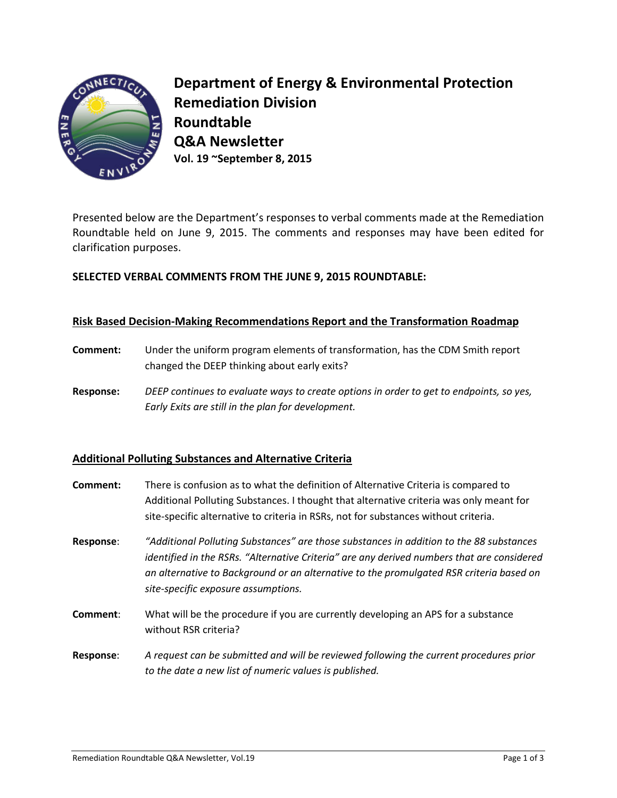

**Department of Energy & Environmental Protection Remediation Division Roundtable Q&A Newsletter Vol. 19 ~September 8, 2015**

Presented below are the Department's responses to verbal comments made at the Remediation Roundtable held on June 9, 2015. The comments and responses may have been edited for clarification purposes.

# **SELECTED VERBAL COMMENTS FROM THE JUNE 9, 2015 ROUNDTABLE:**

#### **Risk Based Decision-Making Recommendations Report and the Transformation Roadmap**

- **Comment:** Under the uniform program elements of transformation, has the CDM Smith report changed the DEEP thinking about early exits?
- **Response:** *DEEP continues to evaluate ways to create options in order to get to endpoints, so yes, Early Exits are still in the plan for development.*

## **Additional Polluting Substances and Alternative Criteria**

- **Comment:** There is confusion as to what the definition of Alternative Criteria is compared to Additional Polluting Substances. I thought that alternative criteria was only meant for site-specific alternative to criteria in RSRs, not for substances without criteria.
- **Response**: *"Additional Polluting Substances" are those substances in addition to the 88 substances identified in the RSRs. "Alternative Criteria" are any derived numbers that are considered an alternative to Background or an alternative to the promulgated RSR criteria based on site-specific exposure assumptions.*
- **Comment**: What will be the procedure if you are currently developing an APS for a substance without RSR criteria?
- **Response**: *A request can be submitted and will be reviewed following the current procedures prior to the date a new list of numeric values is published.*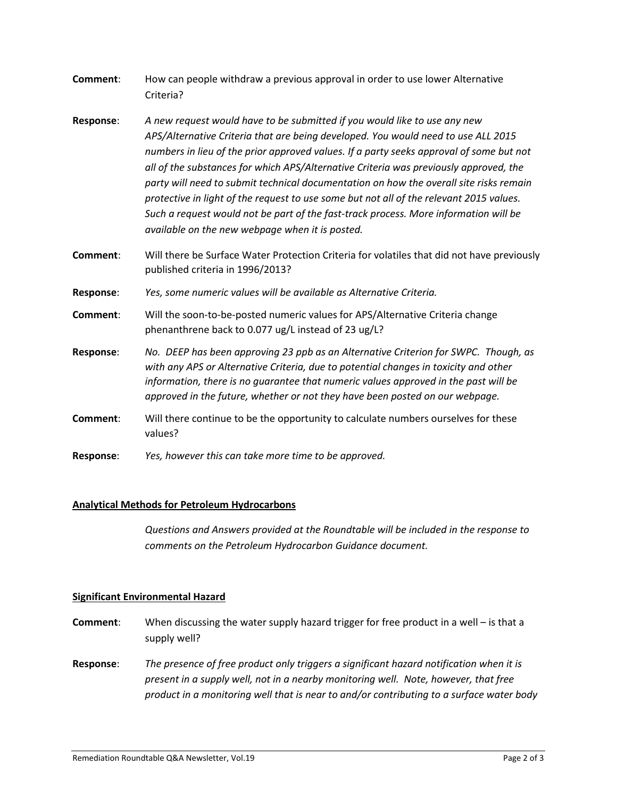- **Comment**: How can people withdraw a previous approval in order to use lower Alternative Criteria?
- **Response**: *A new request would have to be submitted if you would like to use any new APS/Alternative Criteria that are being developed. You would need to use ALL 2015 numbers in lieu of the prior approved values. If a party seeks approval of some but not all of the substances for which APS/Alternative Criteria was previously approved, the party will need to submit technical documentation on how the overall site risks remain protective in light of the request to use some but not all of the relevant 2015 values. Such a request would not be part of the fast-track process. More information will be available on the new webpage when it is posted.*
- **Comment**: Will there be Surface Water Protection Criteria for volatiles that did not have previously published criteria in 1996/2013?
- **Response**: *Yes, some numeric values will be available as Alternative Criteria.*
- **Comment**: Will the soon-to-be-posted numeric values for APS/Alternative Criteria change phenanthrene back to 0.077 ug/L instead of 23 ug/L?
- **Response**: *No. DEEP has been approving 23 ppb as an Alternative Criterion for SWPC. Though, as with any APS or Alternative Criteria, due to potential changes in toxicity and other information, there is no guarantee that numeric values approved in the past will be approved in the future, whether or not they have been posted on our webpage.*
- **Comment**: Will there continue to be the opportunity to calculate numbers ourselves for these values?
- **Response**: *Yes, however this can take more time to be approved.*

## **Analytical Methods for Petroleum Hydrocarbons**

*Questions and Answers provided at the Roundtable will be included in the response to comments on the Petroleum Hydrocarbon Guidance document.*

#### **Significant Environmental Hazard**

- **Comment**: When discussing the water supply hazard trigger for free product in a well is that a supply well?
- **Response**: *The presence of free product only triggers a significant hazard notification when it is present in a supply well, not in a nearby monitoring well. Note, however, that free product in a monitoring well that is near to and/or contributing to a surface water body*